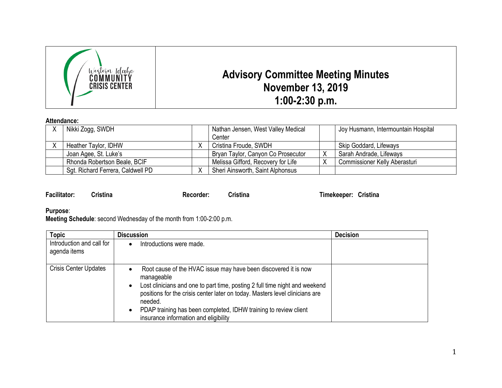

## **Attendance:**

| Nikki Zogg, SWDH                  |  | Nathan Jensen, West Valley Medical |  | Joy Husmann, Intermountain Hospital |
|-----------------------------------|--|------------------------------------|--|-------------------------------------|
|                                   |  | Center                             |  |                                     |
| Heather Taylor, IDHW              |  | Cristina Froude, SWDH              |  | Skip Goddard, Lifeways              |
| Joan Agee, St. Luke's             |  | Bryan Taylor, Canyon Co Prosecutor |  | Sarah Andrade, Lifeways             |
| Rhonda Robertson Beale, BCIF      |  | Melissa Gifford, Recovery for Life |  | Commissioner Kelly Aberasturi       |
| Sgt. Richard Ferrera, Caldwell PD |  | Sheri Ainsworth, Saint Alphonsus   |  |                                     |

| <b>Facilitator:</b> | <b>Cristina</b> |
|---------------------|-----------------|

**Facilitator: Cristina Recorder: Cristina Timekeeper: Cristina**

**Purpose**:

**Meeting Schedule**: second Wednesday of the month from 1:00-2:00 p.m.

| <b>Topic</b>                              | <b>Discussion</b>                                                                                                                                                                                                                                                                                                                                                                                           | <b>Decision</b> |
|-------------------------------------------|-------------------------------------------------------------------------------------------------------------------------------------------------------------------------------------------------------------------------------------------------------------------------------------------------------------------------------------------------------------------------------------------------------------|-----------------|
| Introduction and call for<br>agenda items | Introductions were made.<br>$\bullet$                                                                                                                                                                                                                                                                                                                                                                       |                 |
| <b>Crisis Center Updates</b>              | Root cause of the HVAC issue may have been discovered it is now<br>$\bullet$<br>manageable<br>Lost clinicians and one to part time, posting 2 full time night and weekend<br>$\bullet$<br>positions for the crisis center later on today. Masters level clinicians are<br>needed.<br>PDAP training has been completed, IDHW training to review client<br>$\bullet$<br>insurance information and eligibility |                 |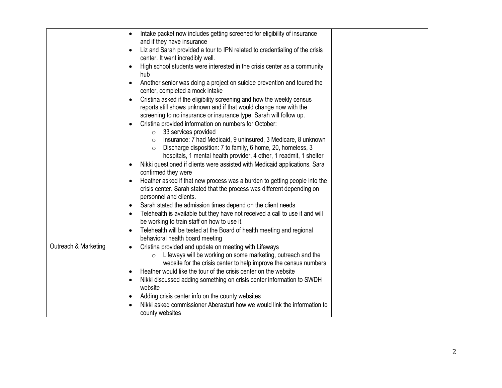|                      | Intake packet now includes getting screened for eligibility of insurance<br>$\bullet$<br>and if they have insurance |  |
|----------------------|---------------------------------------------------------------------------------------------------------------------|--|
|                      |                                                                                                                     |  |
|                      | Liz and Sarah provided a tour to IPN related to credentialing of the crisis<br>$\bullet$                            |  |
|                      | center. It went incredibly well.                                                                                    |  |
|                      | High school students were interested in the crisis center as a community<br>$\bullet$                               |  |
|                      | hub                                                                                                                 |  |
|                      | Another senior was doing a project on suicide prevention and toured the<br>$\bullet$                                |  |
|                      | center, completed a mock intake                                                                                     |  |
|                      | Cristina asked if the eligibility screening and how the weekly census<br>$\bullet$                                  |  |
|                      | reports still shows unknown and if that would change now with the                                                   |  |
|                      | screening to no insurance or insurance type. Sarah will follow up.                                                  |  |
|                      | Cristina provided information on numbers for October:<br>$\bullet$                                                  |  |
|                      | $\circ$ 33 services provided                                                                                        |  |
|                      | Insurance: 7 had Medicaid, 9 uninsured, 3 Medicare, 8 unknown<br>$\circ$                                            |  |
|                      | Discharge disposition: 7 to family, 6 home, 20, homeless, 3<br>$\circ$                                              |  |
|                      | hospitals, 1 mental health provider, 4 other, 1 readmit, 1 shelter                                                  |  |
|                      | Nikki questioned if clients were assisted with Medicaid applications. Sara<br>$\bullet$                             |  |
|                      | confirmed they were                                                                                                 |  |
|                      | Heather asked if that new process was a burden to getting people into the<br>$\bullet$                              |  |
|                      | crisis center. Sarah stated that the process was different depending on                                             |  |
|                      | personnel and clients.                                                                                              |  |
|                      | Sarah stated the admission times depend on the client needs<br>$\bullet$                                            |  |
|                      | Telehealth is available but they have not received a call to use it and will<br>$\bullet$                           |  |
|                      | be working to train staff on how to use it.                                                                         |  |
|                      |                                                                                                                     |  |
|                      | Telehealth will be tested at the Board of health meeting and regional<br>$\bullet$                                  |  |
| Outreach & Marketing | behavioral health board meeting                                                                                     |  |
|                      | Cristina provided and update on meeting with Lifeways<br>$\bullet$                                                  |  |
|                      | Lifeways will be working on some marketing, outreach and the<br>$\circ$                                             |  |
|                      | website for the crisis center to help improve the census numbers                                                    |  |
|                      | Heather would like the tour of the crisis center on the website<br>$\bullet$                                        |  |
|                      | Nikki discussed adding something on crisis center information to SWDH<br>$\bullet$                                  |  |
|                      | website                                                                                                             |  |
|                      | Adding crisis center info on the county websites<br>$\bullet$                                                       |  |
|                      | Nikki asked commissioner Aberasturi how we would link the information to                                            |  |
|                      | county websites                                                                                                     |  |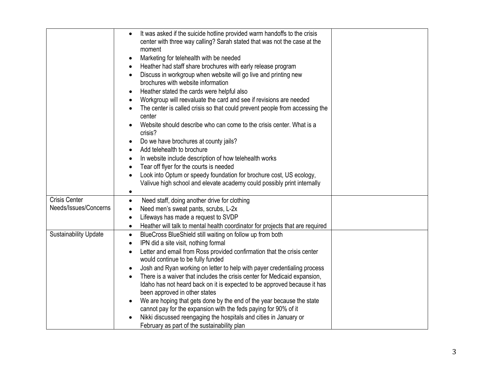|                                               | It was asked if the suicide hotline provided warm handoffs to the crisis<br>$\bullet$<br>center with three way calling? Sarah stated that was not the case at the<br>moment<br>Marketing for telehealth with be needed<br>Heather had staff share brochures with early release program<br>$\bullet$<br>Discuss in workgroup when website will go live and printing new<br>$\bullet$<br>brochures with website information<br>Heather stated the cards were helpful also<br>Workgroup will reevaluate the card and see if revisions are needed<br>The center is called crisis so that could prevent people from accessing the<br>center<br>Website should describe who can come to the crisis center. What is a                                                                                              |  |
|-----------------------------------------------|-------------------------------------------------------------------------------------------------------------------------------------------------------------------------------------------------------------------------------------------------------------------------------------------------------------------------------------------------------------------------------------------------------------------------------------------------------------------------------------------------------------------------------------------------------------------------------------------------------------------------------------------------------------------------------------------------------------------------------------------------------------------------------------------------------------|--|
|                                               | crisis?<br>Do we have brochures at county jails?<br>Add telehealth to brochure<br>$\bullet$<br>In website include description of how telehealth works<br>٠<br>Tear off flyer for the courts is needed<br>$\bullet$<br>Look into Optum or speedy foundation for brochure cost, US ecology,<br>$\bullet$<br>Valivue high school and elevate academy could possibly print internally<br>$\bullet$                                                                                                                                                                                                                                                                                                                                                                                                              |  |
| <b>Crisis Center</b><br>Needs/Issues/Concerns | Need staff, doing another drive for clothing<br>$\bullet$<br>Need men's sweat pants, scrubs, L-2x<br>$\bullet$<br>Lifeways has made a request to SVDP<br>$\bullet$<br>Heather will talk to mental health coordinator for projects that are required<br>$\bullet$                                                                                                                                                                                                                                                                                                                                                                                                                                                                                                                                            |  |
| <b>Sustainability Update</b>                  | BlueCross BlueShield still waiting on follow up from both<br>$\bullet$<br>IPN did a site visit, nothing formal<br>$\bullet$<br>Letter and email from Ross provided confirmation that the crisis center<br>$\bullet$<br>would continue to be fully funded<br>Josh and Ryan working on letter to help with payer credentialing process<br>$\bullet$<br>There is a waiver that includes the crisis center for Medicaid expansion,<br>Idaho has not heard back on it is expected to be approved because it has<br>been approved in other states<br>We are hoping that gets done by the end of the year because the state<br>cannot pay for the expansion with the feds paying for 90% of it<br>Nikki discussed reengaging the hospitals and cities in January or<br>February as part of the sustainability plan |  |